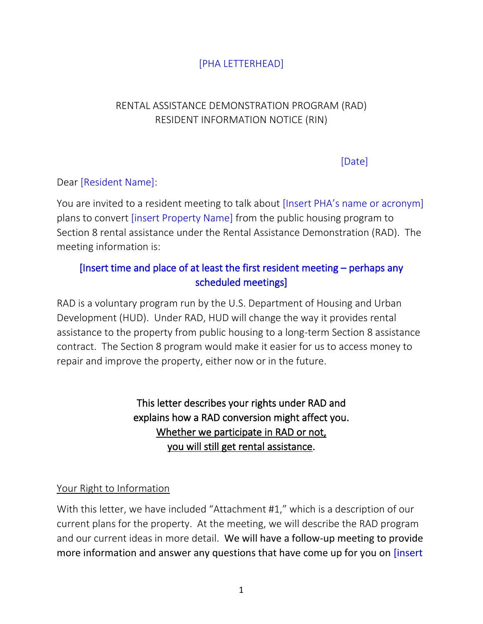## [PHA LETTERHEAD]

## RENTAL ASSISTANCE DEMONSTRATION PROGRAM (RAD) RESIDENT INFORMATION NOTICE (RIN)

[Date]

#### Dear [Resident Name]:

You are invited to a resident meeting to talk about [Insert PHA's name or acronym] plans to convert [insert Property Name] from the public housing program to Section 8 rental assistance under the Rental Assistance Demonstration (RAD). The meeting information is:

## [Insert time and place of at least the first resident meeting – perhaps any scheduled meetings]

RAD is a voluntary program run by the U.S. Department of Housing and Urban Development (HUD). Under RAD, HUD will change the way it provides rental assistance to the property from public housing to a long-term Section 8 assistance contract. The Section 8 program would make it easier for us to access money to repair and improve the property, either now or in the future.

> This letter describes your rights under RAD and explains how a RAD conversion might affect you. Whether we participate in RAD or not, you will still get rental assistance.

#### Your Right to Information

With this letter, we have included "Attachment #1," which is a description of our current plans for the property. At the meeting, we will describe the RAD program and our current ideas in more detail. We will have a follow-up meeting to provide more information and answer any questions that have come up for you on [insert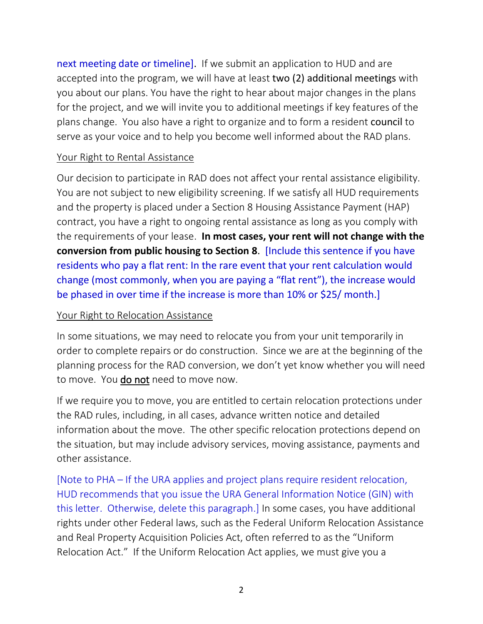next meeting date or timeline]. If we submit an application to HUD and are accepted into the program, we will have at least two (2) additional meetings with you about our plans. You have the right to hear about major changes in the plans for the project, and we will invite you to additional meetings if key features of the plans change. You also have a right to organize and to form a resident council to serve as your voice and to help you become well informed about the RAD plans.

#### Your Right to Rental Assistance

Our decision to participate in RAD does not affect your rental assistance eligibility. You are not subject to new eligibility screening. If we satisfy all HUD requirements and the property is placed under a Section 8 Housing Assistance Payment (HAP) contract, you have a right to ongoing rental assistance as long as you comply with the requirements of your lease. **In most cases, your rent will not change with the conversion from public housing to Section 8**. [Include this sentence if you have residents who pay a flat rent: In the rare event that your rent calculation would change (most commonly, when you are paying a "flat rent"), the increase would be phased in over time if the increase is more than 10% or \$25/ month.]

#### Your Right to Relocation Assistance

In some situations, we may need to relocate you from your unit temporarily in order to complete repairs or do construction. Since we are at the beginning of the planning process for the RAD conversion, we don't yet know whether you will need to move. You do not need to move now.

If we require you to move, you are entitled to certain relocation protections under the RAD rules, including, in all cases, advance written notice and detailed information about the move. The other specific relocation protections depend on the situation, but may include advisory services, moving assistance, payments and other assistance.

[Note to PHA – If the URA applies and project plans require resident relocation, HUD recommends that you issue the URA General Information Notice (GIN) with this letter. Otherwise, delete this paragraph.] In some cases, you have additional rights under other Federal laws, such as the Federal Uniform Relocation Assistance and Real Property Acquisition Policies Act, often referred to as the "Uniform Relocation Act." If the Uniform Relocation Act applies, we must give you a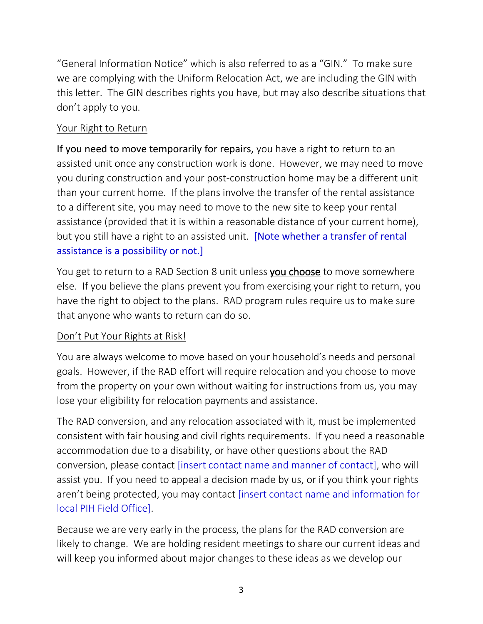"General Information Notice" which is also referred to as a "GIN." To make sure we are complying with the Uniform Relocation Act, we are including the GIN with this letter. The GIN describes rights you have, but may also describe situations that don't apply to you.

#### Your Right to Return

If you need to move temporarily for repairs, you have a right to return to an assisted unit once any construction work is done. However, we may need to move you during construction and your post-construction home may be a different unit than your current home. If the plans involve the transfer of the rental assistance to a different site, you may need to move to the new site to keep your rental assistance (provided that it is within a reasonable distance of your current home), but you still have a right to an assisted unit. **[Note whether a transfer of rental** assistance is a possibility or not.]

You get to return to a RAD Section 8 unit unless you choose to move somewhere else. If you believe the plans prevent you from exercising your right to return, you have the right to object to the plans. RAD program rules require us to make sure that anyone who wants to return can do so.

## Don't Put Your Rights at Risk!

You are always welcome to move based on your household's needs and personal goals. However, if the RAD effort will require relocation and you choose to move from the property on your own without waiting for instructions from us, you may lose your eligibility for relocation payments and assistance.

The RAD conversion, and any relocation associated with it, must be implemented consistent with fair housing and civil rights requirements. If you need a reasonable accommodation due to a disability, or have other questions about the RAD conversion, please contact [insert contact name and manner of contact], who will assist you. If you need to appeal a decision made by us, or if you think your rights aren't being protected, you may contact [insert contact name and information for local PIH Field Office].

Because we are very early in the process, the plans for the RAD conversion are likely to change. We are holding resident meetings to share our current ideas and will keep you informed about major changes to these ideas as we develop our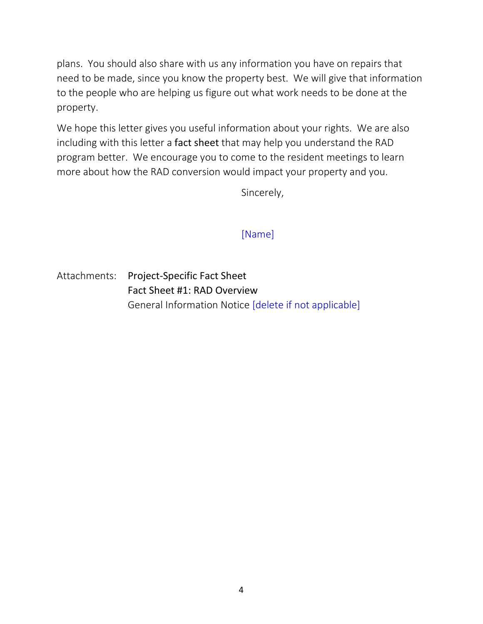plans. You should also share with us any information you have on repairs that need to be made, since you know the property best. We will give that information to the people who are helping us figure out what work needs to be done at the property.

We hope this letter gives you useful information about your rights. We are also including with this letter a fact sheet that may help you understand the RAD program better. We encourage you to come to the resident meetings to learn more about how the RAD conversion would impact your property and you.

Sincerely,

## [Name]

Attachments: Project-Specific Fact Sheet Fact Sheet #1: RAD Overview General Information Notice [delete if not applicable]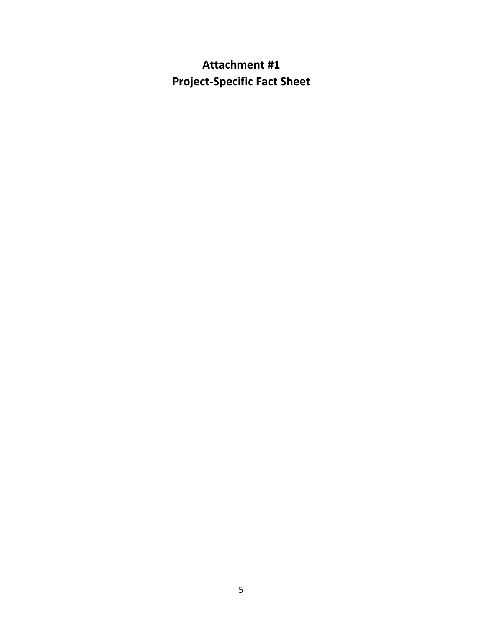# **Attachment #1 Project-Specific Fact Sheet**